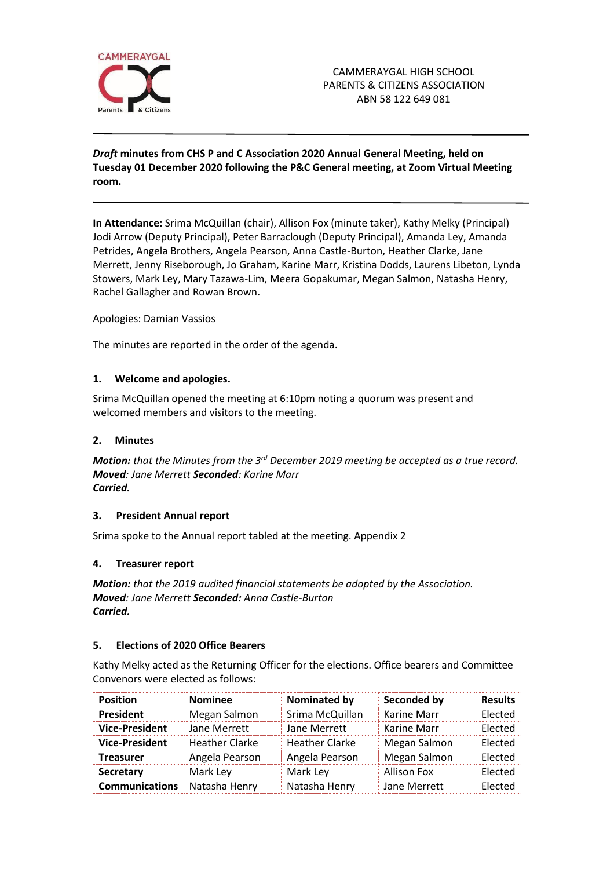

# *Draft* **minutes from CHS P and C Association 2020 Annual General Meeting, held on Tuesday 01 December 2020 following the P&C General meeting, at Zoom Virtual Meeting room.**

**In Attendance:** Srima McQuillan (chair), Allison Fox (minute taker), Kathy Melky (Principal) Jodi Arrow (Deputy Principal), Peter Barraclough (Deputy Principal), Amanda Ley, Amanda Petrides, Angela Brothers, Angela Pearson, Anna Castle-Burton, Heather Clarke, Jane Merrett, Jenny Riseborough, Jo Graham, Karine Marr, Kristina Dodds, Laurens Libeton, Lynda Stowers, Mark Ley, Mary Tazawa-Lim, Meera Gopakumar, Megan Salmon, Natasha Henry, Rachel Gallagher and Rowan Brown.

Apologies: Damian Vassios

The minutes are reported in the order of the agenda.

## **1. Welcome and apologies.**

Srima McQuillan opened the meeting at 6:10pm noting a quorum was present and welcomed members and visitors to the meeting.

## **2. Minutes**

*Motion: that the Minutes from the 3rd December 2019 meeting be accepted as a true record. Moved: Jane Merrett Seconded: Karine Marr Carried.*

### **3. President Annual report**

Srima spoke to the Annual report tabled at the meeting. Appendix 2

### **4. Treasurer report**

*Motion: that the 2019 audited financial statements be adopted by the Association. Moved: Jane Merrett Seconded: Anna Castle-Burton Carried.*

### **5. Elections of 2020 Office Bearers**

Kathy Melky acted as the Returning Officer for the elections. Office bearers and Committee Convenors were elected as follows:

| <b>Position</b>       | <b>Nominee</b>        | Nominated by          | Seconded by        | <b>Results</b> |
|-----------------------|-----------------------|-----------------------|--------------------|----------------|
| <b>President</b>      | Megan Salmon          | Srima McQuillan       | Karine Marr        | Elected        |
| <b>Vice-President</b> | Jane Merrett          | Jane Merrett          | Karine Marr        | Elected        |
| <b>Vice-President</b> | <b>Heather Clarke</b> | <b>Heather Clarke</b> | Megan Salmon       | Elected        |
| <b>Treasurer</b>      | Angela Pearson        | Angela Pearson        | Megan Salmon       | Elected        |
| <b>Secretary</b>      | Mark Ley              | Mark Ley              | <b>Allison Fox</b> | Elected        |
| <b>Communications</b> | Natasha Henry         | Natasha Henry         | Jane Merrett       | Elected        |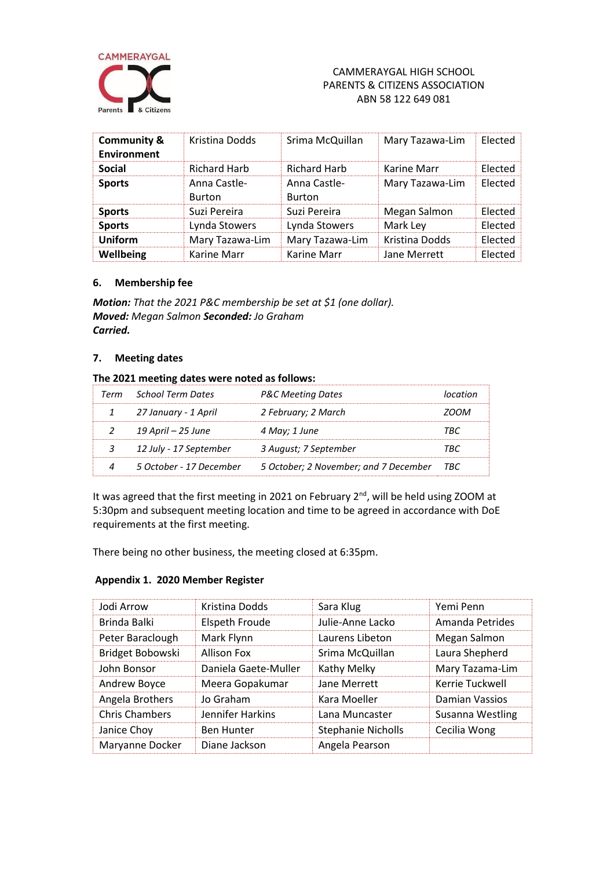

## CAMMERAYGAL HIGH SCHOOL PARENTS & CITIZENS ASSOCIATION ABN 58 122 649 081

| <b>Community &amp;</b><br>Environment | Kristina Dodds                | Srima McQuillan                    | Mary Tazawa-Lim | Elected        |
|---------------------------------------|-------------------------------|------------------------------------|-----------------|----------------|
| <b>Social</b>                         | <b>Richard Harb</b>           | <b>Richard Harb</b><br>Karine Marr |                 | <b>Flected</b> |
| <b>Sports</b>                         | Anna Castle-<br><b>Burton</b> | Anna Castle-<br><b>Burton</b>      | Mary Tazawa-Lim | Elected        |
| <b>Sports</b>                         | Suzi Pereira                  | Suzi Pereira                       | Megan Salmon    | <b>Flected</b> |
| <b>Sports</b>                         | Lynda Stowers                 | Lynda Stowers<br>Mark Ley          |                 | Elected        |
| Uniform                               | Mary Tazawa-Lim               | Mary Tazawa-Lim                    | Kristina Dodds  | Elected        |
| Wellbeing                             | Karine Marr                   | Karine Marr                        | Jane Merrett    | Elected        |

## **6. Membership fee**

*Motion: That the 2021 P&C membership be set at \$1 (one dollar). Moved: Megan Salmon Seconded: Jo Graham Carried.*

### **7. Meeting dates**

### **The 2021 meeting dates were noted as follows:**

| Term School Term Dates  | <b>P&amp;C Meeting Dates</b>              |       |
|-------------------------|-------------------------------------------|-------|
| 27 January - 1 April    | 2 February; 2 March                       | ומרזנ |
| 19 April – 25 June      | 4 May; 1 June                             | TRC   |
| 12 July - 17 September  | 3 August; 7 September                     | 'RГ   |
| 5 October - 17 December | 5 October; 2 November; and 7 December TBC |       |

It was agreed that the first meeting in 2021 on February 2<sup>nd</sup>, will be held using ZOOM at 5:30pm and subsequent meeting location and time to be agreed in accordance with DoE requirements at the first meeting.

There being no other business, the meeting closed at 6:35pm.

## **Appendix 1. 2020 Member Register**

| Jodi Arrow            | Kristina Dodds        | Sara Klug                 | Yemi Penn        |
|-----------------------|-----------------------|---------------------------|------------------|
| Brinda Balki          | <b>Elspeth Froude</b> | Julie-Anne Lacko          | Amanda Petrides  |
| Peter Baraclough      | Mark Flynn            | Laurens Libeton           | Megan Salmon     |
| Bridget Bobowski      | <b>Allison Fox</b>    | Srima McQuillan           | Laura Shepherd   |
| John Bonsor           | Daniela Gaete-Muller  | Kathy Melky               | Mary Tazama-Lim  |
| Andrew Boyce          | Meera Gopakumar       | Jane Merrett              | Kerrie Tuckwell  |
| Angela Brothers       | Jo Graham             | Kara Moeller              | Damian Vassios   |
| <b>Chris Chambers</b> | Jennifer Harkins      | Lana Muncaster            | Susanna Westling |
| Janice Choy           | <b>Ben Hunter</b>     | <b>Stephanie Nicholls</b> | Cecilia Wong     |
| Maryanne Docker       | Diane Jackson         | Angela Pearson            |                  |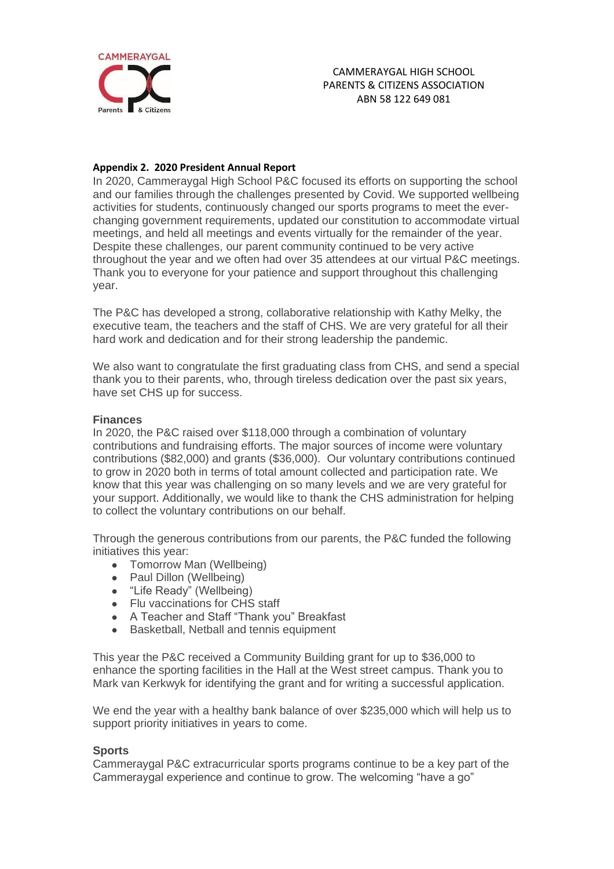

## **Appendix 2. 2020 President Annual Report**

In 2020, Cammeraygal High School P&C focused its efforts on supporting the school and our families through the challenges presented by Covid. We supported wellbeing activities for students, continuously changed our sports programs to meet the everchanging government requirements, updated our constitution to accommodate virtual meetings, and held all meetings and events virtually for the remainder of the year. Despite these challenges, our parent community continued to be very active throughout the year and we often had over 35 attendees at our virtual P&C meetings. Thank you to everyone for your patience and support throughout this challenging year.

The P&C has developed a strong, collaborative relationship with Kathy Melky, the executive team, the teachers and the staff of CHS. We are very grateful for all their hard work and dedication and for their strong leadership the pandemic.

We also want to congratulate the first graduating class from CHS, and send a special thank you to their parents, who, through tireless dedication over the past six years, have set CHS up for success.

## **Finances**

In 2020, the P&C raised over \$118,000 through a combination of voluntary contributions and fundraising efforts. The major sources of income were voluntary contributions (\$82,000) and grants (\$36,000). Our voluntary contributions continued to grow in 2020 both in terms of total amount collected and participation rate. We know that this year was challenging on so many levels and we are very grateful for your support. Additionally, we would like to thank the CHS administration for helping to collect the voluntary contributions on our behalf.

Through the generous contributions from our parents, the P&C funded the following initiatives this year:

- Tomorrow Man (Wellbeing)
- Paul Dillon (Wellbeing)
- "Life Ready" (Wellbeing)
- Flu vaccinations for CHS staff
- A Teacher and Staff "Thank you" Breakfast
- Basketball, Netball and tennis equipment

This year the P&C received a Community Building grant for up to \$36,000 to enhance the sporting facilities in the Hall at the West street campus. Thank you to Mark van Kerkwyk for identifying the grant and for writing a successful application.

We end the year with a healthy bank balance of over \$235,000 which will help us to support priority initiatives in years to come.

# **Sports**

Cammeraygal P&C extracurricular sports programs continue to be a key part of the Cammeraygal experience and continue to grow. The welcoming "have a go"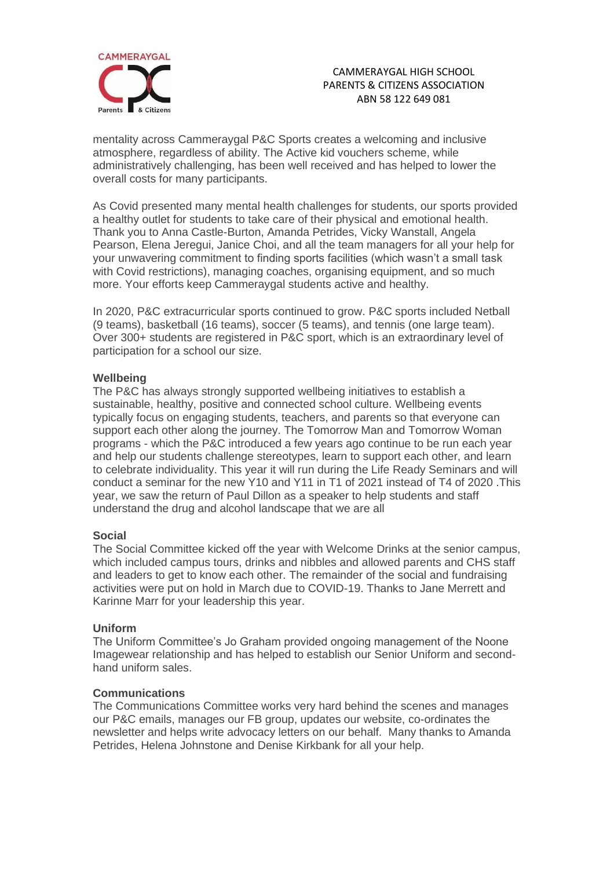

## CAMMERAYGAL HIGH SCHOOL PARENTS & CITIZENS ASSOCIATION ABN 58 122 649 081

mentality across Cammeraygal P&C Sports creates a welcoming and inclusive atmosphere, regardless of ability. The Active kid vouchers scheme, while administratively challenging, has been well received and has helped to lower the overall costs for many participants.

As Covid presented many mental health challenges for students, our sports provided a healthy outlet for students to take care of their physical and emotional health. Thank you to Anna Castle-Burton, Amanda Petrides, Vicky Wanstall, Angela Pearson, Elena Jeregui, Janice Choi, and all the team managers for all your help for your unwavering commitment to finding sports facilities (which wasn't a small task with Covid restrictions), managing coaches, organising equipment, and so much more. Your efforts keep Cammeraygal students active and healthy.

In 2020, P&C extracurricular sports continued to grow. P&C sports included Netball (9 teams), basketball (16 teams), soccer (5 teams), and tennis (one large team). Over 300+ students are registered in P&C sport, which is an extraordinary level of participation for a school our size.

# **Wellbeing**

The P&C has always strongly supported wellbeing initiatives to establish a sustainable, healthy, positive and connected school culture. Wellbeing events typically focus on engaging students, teachers, and parents so that everyone can support each other along the journey. The Tomorrow Man and Tomorrow Woman programs - which the P&C introduced a few years ago continue to be run each year and help our students challenge stereotypes, learn to support each other, and learn to celebrate individuality. This year it will run during the Life Ready Seminars and will conduct a seminar for the new Y10 and Y11 in T1 of 2021 instead of T4 of 2020 .This year, we saw the return of Paul Dillon as a speaker to help students and staff understand the drug and alcohol landscape that we are all

### **Social**

The Social Committee kicked off the year with Welcome Drinks at the senior campus, which included campus tours, drinks and nibbles and allowed parents and CHS staff and leaders to get to know each other. The remainder of the social and fundraising activities were put on hold in March due to COVID-19. Thanks to Jane Merrett and Karinne Marr for your leadership this year.

### **Uniform**

The Uniform Committee's Jo Graham provided ongoing management of the Noone Imagewear relationship and has helped to establish our Senior Uniform and secondhand uniform sales.

### **Communications**

The Communications Committee works very hard behind the scenes and manages our P&C emails, manages our FB group, updates our website, co-ordinates the newsletter and helps write advocacy letters on our behalf. Many thanks to Amanda Petrides, Helena Johnstone and Denise Kirkbank for all your help.